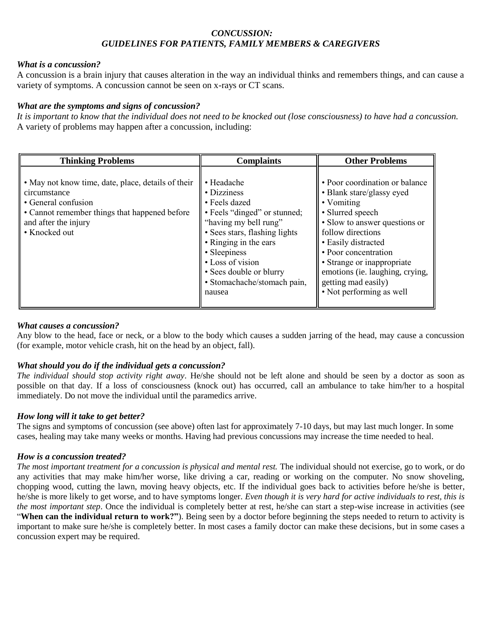## *CONCUSSION: GUIDELINES FOR PATIENTS, FAMILY MEMBERS & CAREGIVERS*

## *What is a concussion?*

A concussion is a brain injury that causes alteration in the way an individual thinks and remembers things, and can cause a variety of symptoms. A concussion cannot be seen on x-rays or CT scans.

## *What are the symptoms and signs of concussion?*

*It is important to know that the individual does not need to be knocked out (lose consciousness) to have had a concussion.*  A variety of problems may happen after a concussion, including:

| <b>Thinking Problems</b>                                                                                                                                                            | <b>Complaints</b>                                                                                                                                                                                                                                                     | <b>Other Problems</b>                                                                                                                                                                                                                                                                                                  |
|-------------------------------------------------------------------------------------------------------------------------------------------------------------------------------------|-----------------------------------------------------------------------------------------------------------------------------------------------------------------------------------------------------------------------------------------------------------------------|------------------------------------------------------------------------------------------------------------------------------------------------------------------------------------------------------------------------------------------------------------------------------------------------------------------------|
| • May not know time, date, place, details of their<br>circumstance<br>• General confusion<br>• Cannot remember things that happened before<br>and after the injury<br>• Knocked out | • Headache<br>• Dizziness<br>• Feels dazed<br>• Feels "dinged" or stunned;<br>"having my bell rung"<br>• Sees stars, flashing lights<br>• Ringing in the ears<br>• Sleepiness<br>• Loss of vision<br>• Sees double or blurry<br>· Stomachache/stomach pain,<br>nausea | • Poor coordination or balance<br>• Blank stare/glassy eyed<br>• Vomiting<br>• Slurred speech<br>• Slow to answer questions or<br>follow directions<br>• Easily distracted<br>• Poor concentration<br>• Strange or inappropriate<br>emotions (ie. laughing, crying,<br>getting mad easily)<br>• Not performing as well |

## *What causes a concussion?*

Any blow to the head, face or neck, or a blow to the body which causes a sudden jarring of the head, may cause a concussion (for example, motor vehicle crash, hit on the head by an object, fall).

# *What should you do if the individual gets a concussion?*

*The individual should stop activity right away*. He/she should not be left alone and should be seen by a doctor as soon as possible on that day. If a loss of consciousness (knock out) has occurred, call an ambulance to take him/her to a hospital immediately. Do not move the individual until the paramedics arrive.

## *How long will it take to get better?*

The signs and symptoms of concussion (see above) often last for approximately 7-10 days, but may last much longer. In some cases, healing may take many weeks or months. Having had previous concussions may increase the time needed to heal.

## *How is a concussion treated?*

The most important treatment for a concussion is physical and mental rest. The individual should not exercise, go to work, or do any activities that may make him/her worse, like driving a car, reading or working on the computer. No snow shoveling, chopping wood, cutting the lawn, moving heavy objects, etc. If the individual goes back to activities before he/she is better, he/she is more likely to get worse, and to have symptoms longer. *Even though it is very hard for active individuals to rest, this is the most important step*. Once the individual is completely better at rest, he/she can start a step-wise increase in activities (see "**When can the individual return to work?"**). Being seen by a doctor before beginning the steps needed to return to activity is important to make sure he/she is completely better. In most cases a family doctor can make these decisions, but in some cases a concussion expert may be required.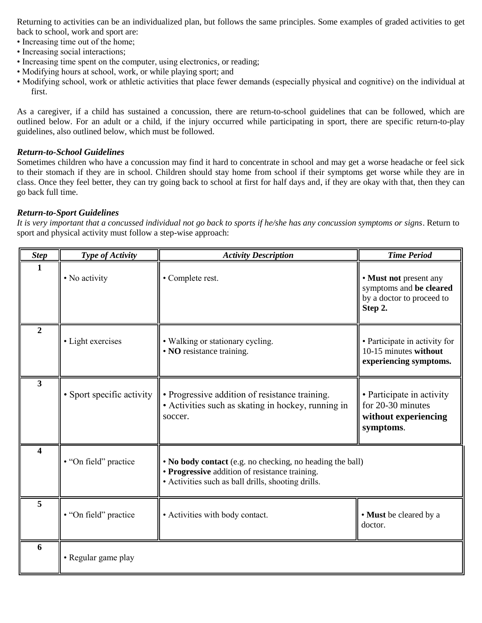Returning to activities can be an individualized plan, but follows the same principles. Some examples of graded activities to get back to school, work and sport are:

- Increasing time out of the home;
- Increasing social interactions;
- Increasing time spent on the computer, using electronics, or reading;
- Modifying hours at school, work, or while playing sport; and
- Modifying school, work or athletic activities that place fewer demands (especially physical and cognitive) on the individual at first.

As a caregiver, if a child has sustained a concussion, there are return-to-school guidelines that can be followed, which are outlined below. For an adult or a child, if the injury occurred while participating in sport, there are specific return-to-play guidelines, also outlined below, which must be followed.

#### *Return-to-School Guidelines*

Sometimes children who have a concussion may find it hard to concentrate in school and may get a worse headache or feel sick to their stomach if they are in school. Children should stay home from school if their symptoms get worse while they are in class. Once they feel better, they can try going back to school at first for half days and, if they are okay with that, then they can go back full time.

#### *Return-to-Sport Guidelines*

*It is very important that a concussed individual not go back to sports if he/she has any concussion symptoms or signs*. Return to sport and physical activity must follow a step-wise approach:

| <b>Step</b>             | Type of Activity          | <b>Activity Description</b>                                                                                                                                       | <b>Time Period</b>                                                                        |
|-------------------------|---------------------------|-------------------------------------------------------------------------------------------------------------------------------------------------------------------|-------------------------------------------------------------------------------------------|
| 1                       | • No activity             | • Complete rest.                                                                                                                                                  | • Must not present any<br>symptoms and be cleared<br>by a doctor to proceed to<br>Step 2. |
| $\overline{2}$          | • Light exercises         | • Walking or stationary cycling.<br>• NO resistance training.                                                                                                     | • Participate in activity for<br>10-15 minutes without<br>experiencing symptoms.          |
| $\overline{\mathbf{3}}$ | • Sport specific activity | • Progressive addition of resistance training.<br>• Activities such as skating in hockey, running in<br>soccer.                                                   | • Participate in activity<br>for 20-30 minutes<br>without experiencing<br>symptoms.       |
| 4                       | • "On field" practice     | • No body contact (e.g. no checking, no heading the ball)<br>• Progressive addition of resistance training.<br>• Activities such as ball drills, shooting drills. |                                                                                           |
| 5                       | • "On field" practice     | • Activities with body contact.                                                                                                                                   | • Must be cleared by a<br>doctor.                                                         |
| 6                       | • Regular game play       |                                                                                                                                                                   |                                                                                           |